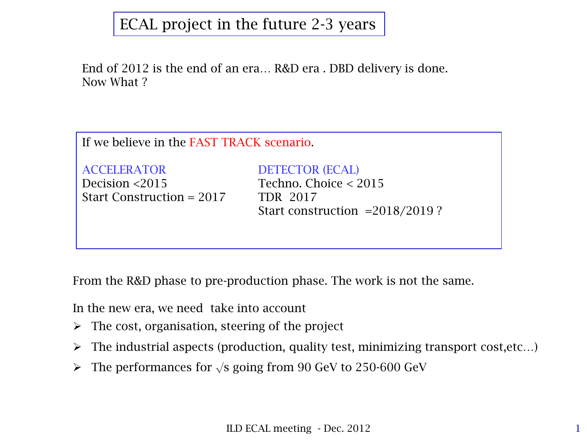## ECAL project in the future 2-3 years

End of 2012 is the end of an era… R&D era . DBD delivery is done. Now What ?

If we believe in the FAST TRACK scenario.

ACCELERATOR DETECTOR (ECAL) Decision <2015 Techno. Choice < 2015 Start Construction = 2017 TDR 2017

Start construction =2018/2019 ?

From the R&D phase to pre-production phase. The work is not the same.

In the new era, we need take into account

- $\triangleright$  The cost, organisation, steering of the project
- $\triangleright$  The industrial aspects (production, quality test, minimizing transport cost, etc...)
- $\triangleright$  The performances for  $\sqrt{s}$  going from 90 GeV to 250-600 GeV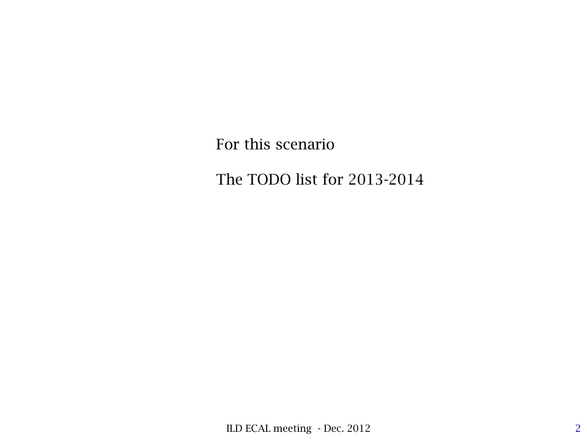For this scenario

The TODO list for 2013-2014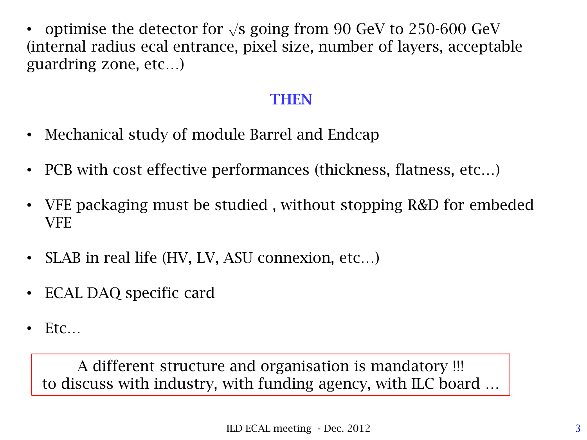• optimise the detector for  $\sqrt{s}$  going from 90 GeV to 250-600 GeV (internal radius ecal entrance, pixel size, number of layers, acceptable guardring zone, etc…)

#### **THEN**

- Mechanical study of module Barrel and Endcap
- PCB with cost effective performances (thickness, flatness, etc...)
- VFE packaging must be studied , without stopping R&D for embeded VFE
- SLAB in real life (HV, LV, ASU connexion, etc...)
- ECAL DAQ specific card
- $E$ tc

A different structure and organisation is mandatory !!! to discuss with industry, with funding agency, with ILC board …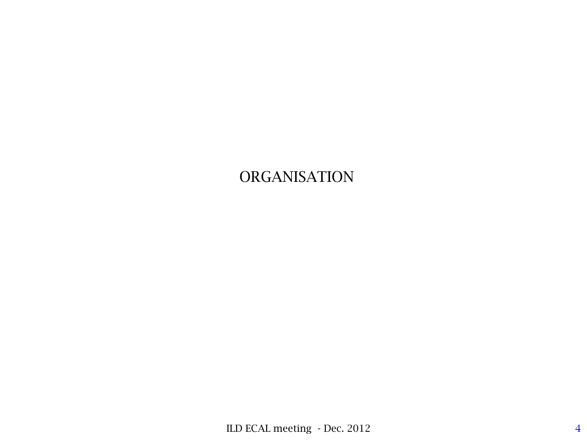# ORGANISATION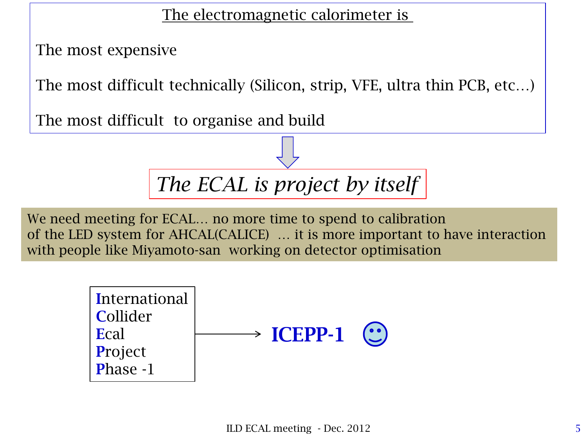The electromagnetic calorimeter is

The most expensive

The most difficult technically (Silicon, strip, VFE, ultra thin PCB, etc…)

The most difficult to organise and build



We need meeting for ECAL… no more time to spend to calibration of the LED system for AHCAL(CALICE) … it is more important to have interaction with people like Miyamoto-san working on detector optimisation

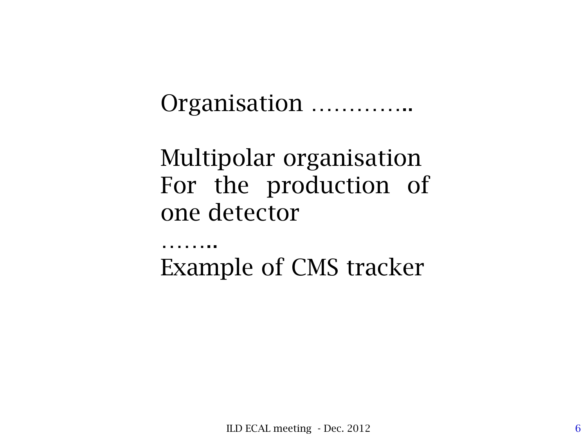Organisation …………..

Multipolar organisation For the production of one detector

…….. Example of CMS tracker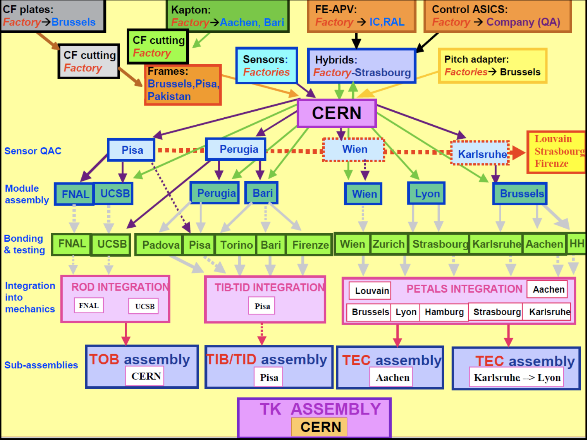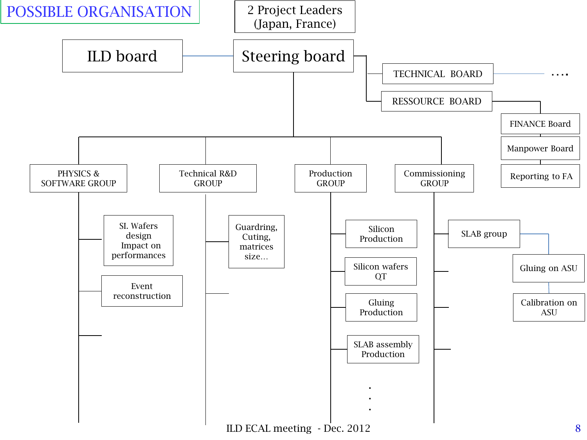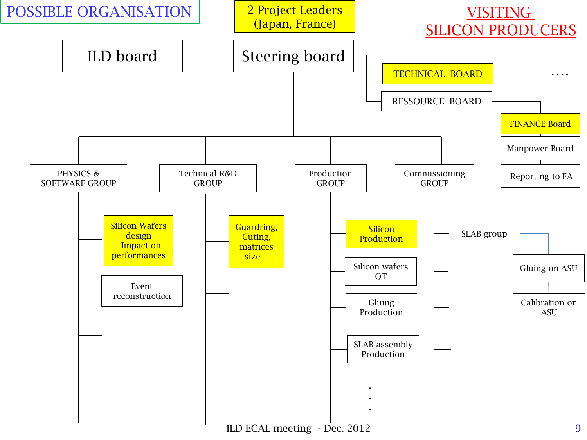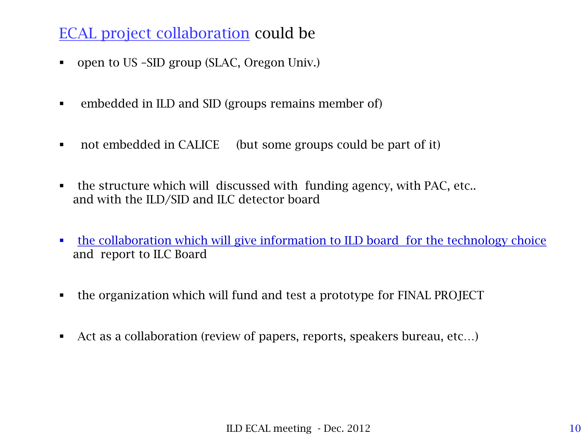### ECAL project collaboration could be

- open to US –SID group (SLAC, Oregon Univ.)
- embedded in ILD and SID (groups remains member of)
- not embedded in CALICE (but some groups could be part of it)
- the structure which will discussed with funding agency, with PAC, etc.. and with the ILD/SID and ILC detector board
- the collaboration which will give information to ILD board for the technology choice and report to ILC Board
- the organization which will fund and test a prototype for FINAL PROJECT
- Act as a collaboration (review of papers, reports, speakers bureau, etc...)